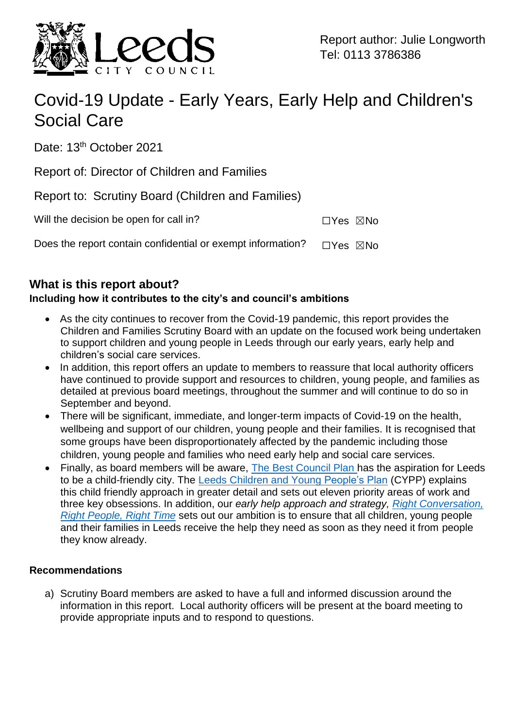

# Covid-19 Update - Early Years, Early Help and Children's Social Care

Date: 13<sup>th</sup> October 2021

Report of: Director of Children and Families

Report to: Scrutiny Board (Children and Families)

| Will the decision be open for call in? | □Yes ⊠No |  |
|----------------------------------------|----------|--|
|                                        |          |  |

Does the report contain confidential or exempt information?  $\Box$ Yes  $\boxtimes$ No

# **What is this report about?**

## **Including how it contributes to the city's and council's ambitions**

- As the city continues to recover from the Covid-19 pandemic, this report provides the Children and Families Scrutiny Board with an update on the focused work being undertaken to support children and young people in Leeds through our early years, early help and children's social care services.
- In addition, this report offers an update to members to reassure that local authority officers have continued to provide support and resources to children, young people, and families as detailed at previous board meetings, throughout the summer and will continue to do so in September and beyond.
- There will be significant, immediate, and longer-term impacts of Covid-19 on the health, wellbeing and support of our children, young people and their families. It is recognised that some groups have been disproportionately affected by the pandemic including those children, young people and families who need early help and social care services.
- Finally, as board members will be aware, [The Best Council Plan h](https://www.leeds.gov.uk/docs/BCP%202020-2025.PDF)as the aspiration for Leeds to be a child-friendly city. The [Leeds Children and Young People's Plan](https://www.leeds.gov.uk/childfriendlyleeds/Documents/CMT18-022%20Childrens%20and%20YP%20Plan%2018-23.pdf) (CYPP) explains this child friendly approach in greater detail and sets out eleven priority areas of work and three key obsessions. In addition, our *early help approach and strategy, [Right Conversation,](https://www.leedsscp.org.uk/LSCB/media/Images/pdfs/Early-Help-Approach-and-Strategy-2020-2023-FINAL.pdf)  [Right People, Right Time](https://www.leedsscp.org.uk/LSCB/media/Images/pdfs/Early-Help-Approach-and-Strategy-2020-2023-FINAL.pdf)* sets out our ambition is to ensure that all children, young people and their families in Leeds receive the help they need as soon as they need it from people they know already.

#### **Recommendations**

a) Scrutiny Board members are asked to have a full and informed discussion around the information in this report. Local authority officers will be present at the board meeting to provide appropriate inputs and to respond to questions.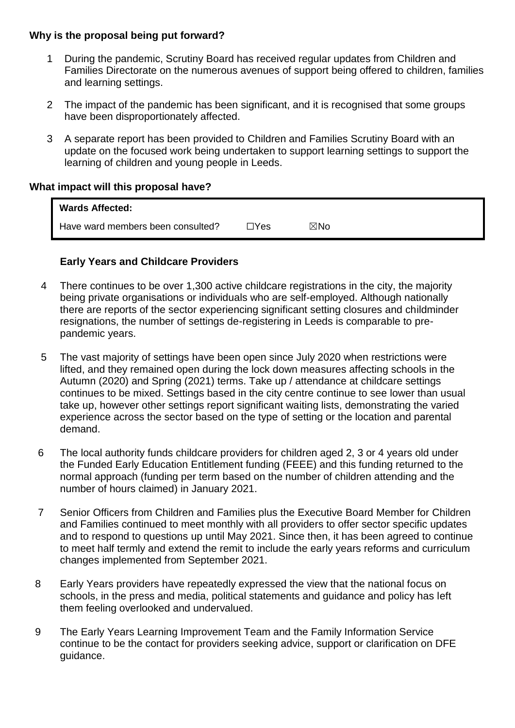#### **Why is the proposal being put forward?**

- 1 During the pandemic, Scrutiny Board has received regular updates from Children and Families Directorate on the numerous avenues of support being offered to children, families and learning settings.
- 2 The impact of the pandemic has been significant, and it is recognised that some groups have been disproportionately affected.
- 3 A separate report has been provided to Children and Families Scrutiny Board with an update on the focused work being undertaken to support learning settings to support the learning of children and young people in Leeds.

#### **What impact will this proposal have?**

| <b>Wards Affected:</b>            |      |     |
|-----------------------------------|------|-----|
| Have ward members been consulted? | ∃Yes | ⊠No |

#### **Early Years and Childcare Providers**

- 4 There continues to be over 1,300 active childcare registrations in the city, the majority being private organisations or individuals who are self-employed. Although nationally there are reports of the sector experiencing significant setting closures and childminder resignations, the number of settings de-registering in Leeds is comparable to prepandemic years.
- 5 The vast majority of settings have been open since July 2020 when restrictions were lifted, and they remained open during the lock down measures affecting schools in the Autumn (2020) and Spring (2021) terms. Take up / attendance at childcare settings continues to be mixed. Settings based in the city centre continue to see lower than usual take up, however other settings report significant waiting lists, demonstrating the varied experience across the sector based on the type of setting or the location and parental demand.
- 6 The local authority funds childcare providers for children aged 2, 3 or 4 years old under the Funded Early Education Entitlement funding (FEEE) and this funding returned to the normal approach (funding per term based on the number of children attending and the number of hours claimed) in January 2021.
- 7 Senior Officers from Children and Families plus the Executive Board Member for Children and Families continued to meet monthly with all providers to offer sector specific updates and to respond to questions up until May 2021. Since then, it has been agreed to continue to meet half termly and extend the remit to include the early years reforms and curriculum changes implemented from September 2021.
- 8 Early Years providers have repeatedly expressed the view that the national focus on schools, in the press and media, political statements and guidance and policy has left them feeling overlooked and undervalued.
- 9 The Early Years Learning Improvement Team and the Family Information Service continue to be the contact for providers seeking advice, support or clarification on DFE guidance.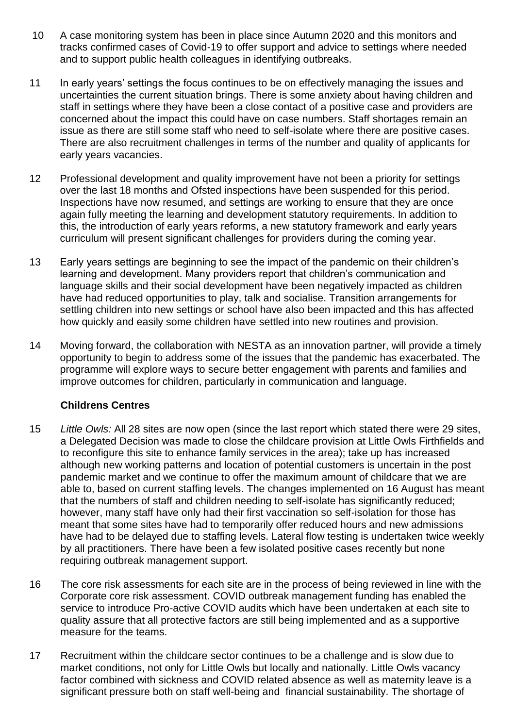- 10 A case monitoring system has been in place since Autumn 2020 and this monitors and tracks confirmed cases of Covid-19 to offer support and advice to settings where needed and to support public health colleagues in identifying outbreaks.
- 11 In early years' settings the focus continues to be on effectively managing the issues and uncertainties the current situation brings. There is some anxiety about having children and staff in settings where they have been a close contact of a positive case and providers are concerned about the impact this could have on case numbers. Staff shortages remain an issue as there are still some staff who need to self-isolate where there are positive cases. There are also recruitment challenges in terms of the number and quality of applicants for early years vacancies.
- 12 Professional development and quality improvement have not been a priority for settings over the last 18 months and Ofsted inspections have been suspended for this period. Inspections have now resumed, and settings are working to ensure that they are once again fully meeting the learning and development statutory requirements. In addition to this, the introduction of early years reforms, a new statutory framework and early years curriculum will present significant challenges for providers during the coming year.
- 13 Early years settings are beginning to see the impact of the pandemic on their children's learning and development. Many providers report that children's communication and language skills and their social development have been negatively impacted as children have had reduced opportunities to play, talk and socialise. Transition arrangements for settling children into new settings or school have also been impacted and this has affected how quickly and easily some children have settled into new routines and provision.
- 14 Moving forward, the collaboration with NESTA as an innovation partner, will provide a timely opportunity to begin to address some of the issues that the pandemic has exacerbated. The programme will explore ways to secure better engagement with parents and families and improve outcomes for children, particularly in communication and language.

#### **Childrens Centres**

- 15 *Little Owls:* All 28 sites are now open (since the last report which stated there were 29 sites, a Delegated Decision was made to close the childcare provision at Little Owls Firthfields and to reconfigure this site to enhance family services in the area); take up has increased although new working patterns and location of potential customers is uncertain in the post pandemic market and we continue to offer the maximum amount of childcare that we are able to, based on current staffing levels. The changes implemented on 16 August has meant that the numbers of staff and children needing to self-isolate has significantly reduced; however, many staff have only had their first vaccination so self-isolation for those has meant that some sites have had to temporarily offer reduced hours and new admissions have had to be delayed due to staffing levels. Lateral flow testing is undertaken twice weekly by all practitioners. There have been a few isolated positive cases recently but none requiring outbreak management support.
- 16 The core risk assessments for each site are in the process of being reviewed in line with the Corporate core risk assessment. COVID outbreak management funding has enabled the service to introduce Pro-active COVID audits which have been undertaken at each site to quality assure that all protective factors are still being implemented and as a supportive measure for the teams.
- 17 Recruitment within the childcare sector continues to be a challenge and is slow due to market conditions, not only for Little Owls but locally and nationally. Little Owls vacancy factor combined with sickness and COVID related absence as well as maternity leave is a significant pressure both on staff well-being and financial sustainability. The shortage of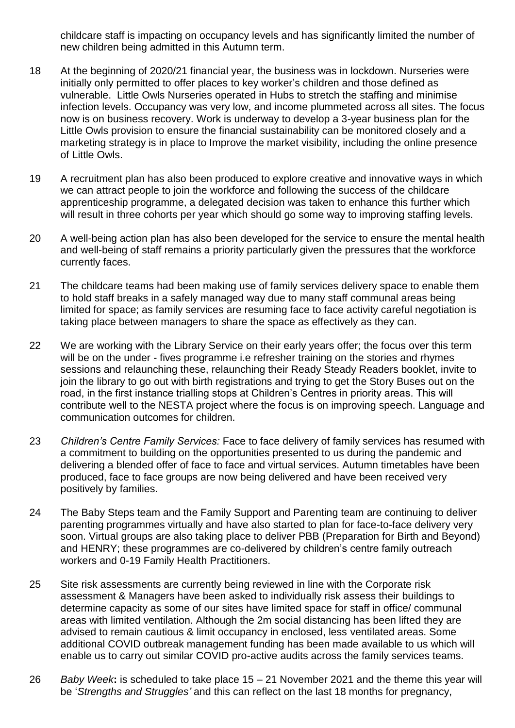childcare staff is impacting on occupancy levels and has significantly limited the number of new children being admitted in this Autumn term.

- 18 At the beginning of 2020/21 financial year, the business was in lockdown. Nurseries were initially only permitted to offer places to key worker's children and those defined as vulnerable. Little Owls Nurseries operated in Hubs to stretch the staffing and minimise infection levels. Occupancy was very low, and income plummeted across all sites. The focus now is on business recovery. Work is underway to develop a 3-year business plan for the Little Owls provision to ensure the financial sustainability can be monitored closely and a marketing strategy is in place to Improve the market visibility, including the online presence of Little Owls.
- 19 A recruitment plan has also been produced to explore creative and innovative ways in which we can attract people to join the workforce and following the success of the childcare apprenticeship programme, a delegated decision was taken to enhance this further which will result in three cohorts per year which should go some way to improving staffing levels.
- 20 A well-being action plan has also been developed for the service to ensure the mental health and well-being of staff remains a priority particularly given the pressures that the workforce currently faces.
- 21 The childcare teams had been making use of family services delivery space to enable them to hold staff breaks in a safely managed way due to many staff communal areas being limited for space; as family services are resuming face to face activity careful negotiation is taking place between managers to share the space as effectively as they can.
- 22 We are working with the Library Service on their early years offer; the focus over this term will be on the under - fives programme i.e refresher training on the stories and rhymes sessions and relaunching these, relaunching their Ready Steady Readers booklet, invite to join the library to go out with birth registrations and trying to get the Story Buses out on the road, in the first instance trialling stops at Children's Centres in priority areas. This will contribute well to the NESTA project where the focus is on improving speech. Language and communication outcomes for children.
- 23 *Children's Centre Family Services:* Face to face delivery of family services has resumed with a commitment to building on the opportunities presented to us during the pandemic and delivering a blended offer of face to face and virtual services. Autumn timetables have been produced, face to face groups are now being delivered and have been received very positively by families.
- 24 The Baby Steps team and the Family Support and Parenting team are continuing to deliver parenting programmes virtually and have also started to plan for face-to-face delivery very soon. Virtual groups are also taking place to deliver PBB (Preparation for Birth and Beyond) and HENRY; these programmes are co-delivered by children's centre family outreach workers and 0-19 Family Health Practitioners.
- 25 Site risk assessments are currently being reviewed in line with the Corporate risk assessment & Managers have been asked to individually risk assess their buildings to determine capacity as some of our sites have limited space for staff in office/ communal areas with limited ventilation. Although the 2m social distancing has been lifted they are advised to remain cautious & limit occupancy in enclosed, less ventilated areas. Some additional COVID outbreak management funding has been made available to us which will enable us to carry out similar COVID pro-active audits across the family services teams.
- 26 *Baby Week***:** is scheduled to take place 15 21 November 2021 and the theme this year will be '*Strengths and Struggles'* and this can reflect on the last 18 months for pregnancy,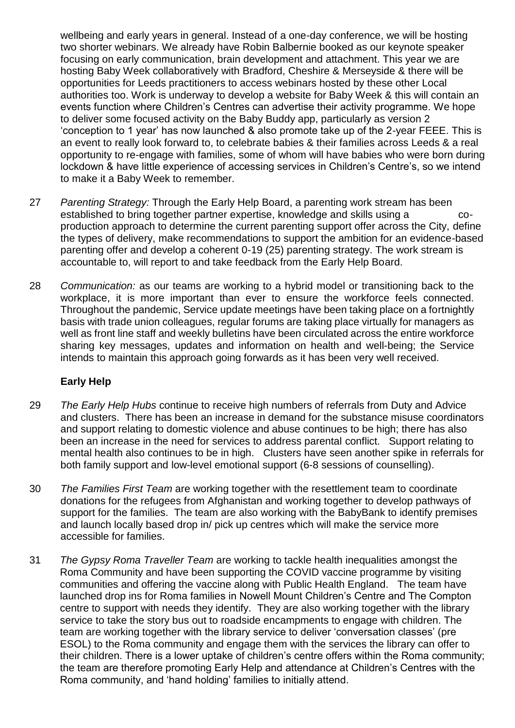wellbeing and early years in general. Instead of a one-day conference, we will be hosting two shorter webinars. We already have Robin Balbernie booked as our keynote speaker focusing on early communication, brain development and attachment. This year we are hosting Baby Week collaboratively with Bradford, Cheshire & Merseyside & there will be opportunities for Leeds practitioners to access webinars hosted by these other Local authorities too. Work is underway to develop a website for Baby Week & this will contain an events function where Children's Centres can advertise their activity programme. We hope to deliver some focused activity on the Baby Buddy app, particularly as version 2 'conception to 1 year' has now launched & also promote take up of the 2-year FEEE. This is an event to really look forward to, to celebrate babies & their families across Leeds & a real opportunity to re-engage with families, some of whom will have babies who were born during lockdown & have little experience of accessing services in Children's Centre's, so we intend to make it a Baby Week to remember.

- 27 *Parenting Strategy:* Through the Early Help Board, a parenting work stream has been established to bring together partner expertise, knowledge and skills using a coproduction approach to determine the current parenting support offer across the City, define the types of delivery, make recommendations to support the ambition for an evidence-based parenting offer and develop a coherent 0-19 (25) parenting strategy. The work stream is accountable to, will report to and take feedback from the Early Help Board.
- 28 *Communication:* as our teams are working to a hybrid model or transitioning back to the workplace, it is more important than ever to ensure the workforce feels connected. Throughout the pandemic, Service update meetings have been taking place on a fortnightly basis with trade union colleagues, regular forums are taking place virtually for managers as well as front line staff and weekly bulletins have been circulated across the entire workforce sharing key messages, updates and information on health and well-being; the Service intends to maintain this approach going forwards as it has been very well received.

#### **Early Help**

- 29 *The Early Help Hubs* continue to receive high numbers of referrals from Duty and Advice and clusters. There has been an increase in demand for the substance misuse coordinators and support relating to domestic violence and abuse continues to be high; there has also been an increase in the need for services to address parental conflict. Support relating to mental health also continues to be in high. Clusters have seen another spike in referrals for both family support and low-level emotional support (6-8 sessions of counselling).
- 30 *The Families First Team* are working together with the resettlement team to coordinate donations for the refugees from Afghanistan and working together to develop pathways of support for the families. The team are also working with the BabyBank to identify premises and launch locally based drop in/ pick up centres which will make the service more accessible for families.
- 31 *The Gypsy Roma Traveller Team* are working to tackle health inequalities amongst the Roma Community and have been supporting the COVID vaccine programme by visiting communities and offering the vaccine along with Public Health England. The team have launched drop ins for Roma families in Nowell Mount Children's Centre and The Compton centre to support with needs they identify. They are also working together with the library service to take the story bus out to roadside encampments to engage with children. The team are working together with the library service to deliver 'conversation classes' (pre ESOL) to the Roma community and engage them with the services the library can offer to their children. There is a lower uptake of children's centre offers within the Roma community; the team are therefore promoting Early Help and attendance at Children's Centres with the Roma community, and 'hand holding' families to initially attend.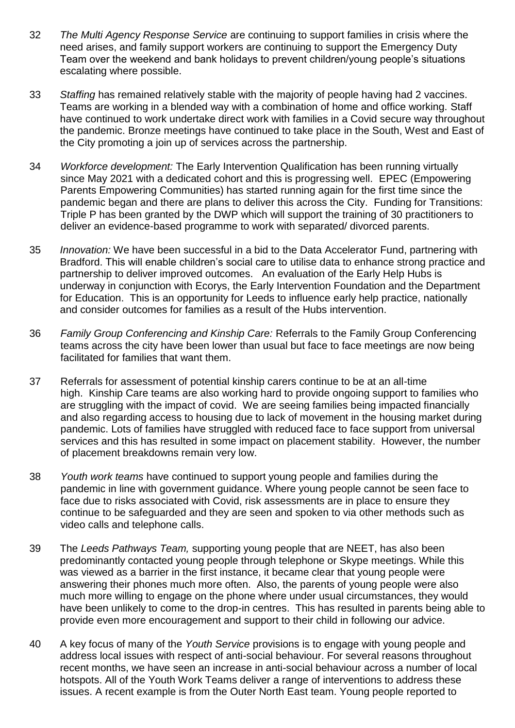- 32 *The Multi Agency Response Service* are continuing to support families in crisis where the need arises, and family support workers are continuing to support the Emergency Duty Team over the weekend and bank holidays to prevent children/young people's situations escalating where possible.
- 33 *Staffing* has remained relatively stable with the majority of people having had 2 vaccines. Teams are working in a blended way with a combination of home and office working. Staff have continued to work undertake direct work with families in a Covid secure way throughout the pandemic. Bronze meetings have continued to take place in the South, West and East of the City promoting a join up of services across the partnership.
- 34 *Workforce development:* The Early Intervention Qualification has been running virtually since May 2021 with a dedicated cohort and this is progressing well. EPEC (Empowering Parents Empowering Communities) has started running again for the first time since the pandemic began and there are plans to deliver this across the City. Funding for Transitions: Triple P has been granted by the DWP which will support the training of 30 practitioners to deliver an evidence-based programme to work with separated/ divorced parents.
- 35 *Innovation:* We have been successful in a bid to the Data Accelerator Fund, partnering with Bradford. This will enable children's social care to utilise data to enhance strong practice and partnership to deliver improved outcomes. An evaluation of the Early Help Hubs is underway in conjunction with Ecorys, the Early Intervention Foundation and the Department for Education. This is an opportunity for Leeds to influence early help practice, nationally and consider outcomes for families as a result of the Hubs intervention.
- 36 *Family Group Conferencing and Kinship Care:* Referrals to the Family Group Conferencing teams across the city have been lower than usual but face to face meetings are now being facilitated for families that want them.
- 37 Referrals for assessment of potential kinship carers continue to be at an all-time high. Kinship Care teams are also working hard to provide ongoing support to families who are struggling with the impact of covid. We are seeing families being impacted financially and also regarding access to housing due to lack of movement in the housing market during pandemic. Lots of families have struggled with reduced face to face support from universal services and this has resulted in some impact on placement stability. However, the number of placement breakdowns remain very low.
- 38 *Youth work teams* have continued to support young people and families during the pandemic in line with government guidance. Where young people cannot be seen face to face due to risks associated with Covid, risk assessments are in place to ensure they continue to be safeguarded and they are seen and spoken to via other methods such as video calls and telephone calls.
- 39 The *Leeds Pathways Team,* supporting young people that are NEET, has also been predominantly contacted young people through telephone or Skype meetings. While this was viewed as a barrier in the first instance, it became clear that young people were answering their phones much more often. Also, the parents of young people were also much more willing to engage on the phone where under usual circumstances, they would have been unlikely to come to the drop-in centres. This has resulted in parents being able to provide even more encouragement and support to their child in following our advice.
- 40 A key focus of many of the *Youth Service* provisions is to engage with young people and address local issues with respect of anti-social behaviour. For several reasons throughout recent months, we have seen an increase in anti-social behaviour across a number of local hotspots. All of the Youth Work Teams deliver a range of interventions to address these issues. A recent example is from the Outer North East team. Young people reported to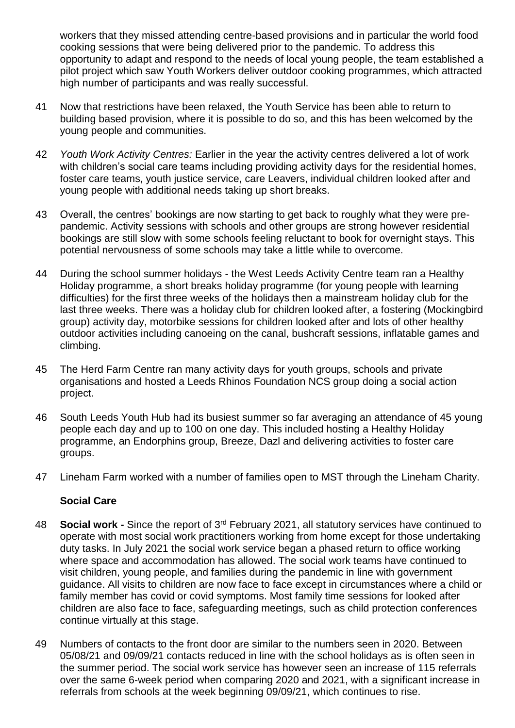workers that they missed attending centre-based provisions and in particular the world food cooking sessions that were being delivered prior to the pandemic. To address this opportunity to adapt and respond to the needs of local young people, the team established a pilot project which saw Youth Workers deliver outdoor cooking programmes, which attracted high number of participants and was really successful.

- 41 Now that restrictions have been relaxed, the Youth Service has been able to return to building based provision, where it is possible to do so, and this has been welcomed by the young people and communities.
- 42 *Youth Work Activity Centres:* Earlier in the year the activity centres delivered a lot of work with children's social care teams including providing activity days for the residential homes, foster care teams, youth justice service, care Leavers, individual children looked after and young people with additional needs taking up short breaks.
- 43 Overall, the centres' bookings are now starting to get back to roughly what they were prepandemic. Activity sessions with schools and other groups are strong however residential bookings are still slow with some schools feeling reluctant to book for overnight stays. This potential nervousness of some schools may take a little while to overcome.
- 44 During the school summer holidays the West Leeds Activity Centre team ran a Healthy Holiday programme, a short breaks holiday programme (for young people with learning difficulties) for the first three weeks of the holidays then a mainstream holiday club for the last three weeks. There was a holiday club for children looked after, a fostering (Mockingbird group) activity day, motorbike sessions for children looked after and lots of other healthy outdoor activities including canoeing on the canal, bushcraft sessions, inflatable games and climbing.
- 45 The Herd Farm Centre ran many activity days for youth groups, schools and private organisations and hosted a Leeds Rhinos Foundation NCS group doing a social action project.
- 46 South Leeds Youth Hub had its busiest summer so far averaging an attendance of 45 young people each day and up to 100 on one day. This included hosting a Healthy Holiday programme, an Endorphins group, Breeze, Dazl and delivering activities to foster care groups.
- 47 Lineham Farm worked with a number of families open to MST through the Lineham Charity.

#### **Social Care**

- 48 **Social work -** Since the report of 3rd February 2021, all statutory services have continued to operate with most social work practitioners working from home except for those undertaking duty tasks. In July 2021 the social work service began a phased return to office working where space and accommodation has allowed. The social work teams have continued to visit children, young people, and families during the pandemic in line with government guidance. All visits to children are now face to face except in circumstances where a child or family member has covid or covid symptoms. Most family time sessions for looked after children are also face to face, safeguarding meetings, such as child protection conferences continue virtually at this stage.
- 49 Numbers of contacts to the front door are similar to the numbers seen in 2020. Between 05/08/21 and 09/09/21 contacts reduced in line with the school holidays as is often seen in the summer period. The social work service has however seen an increase of 115 referrals over the same 6-week period when comparing 2020 and 2021, with a significant increase in referrals from schools at the week beginning 09/09/21, which continues to rise.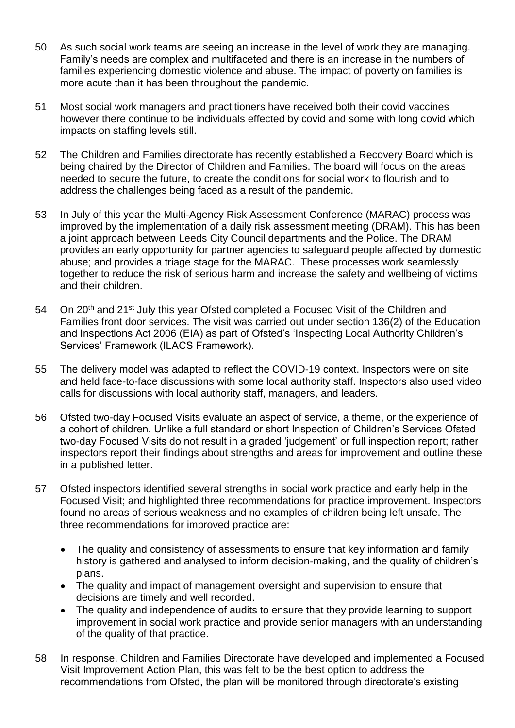- 50 As such social work teams are seeing an increase in the level of work they are managing. Family's needs are complex and multifaceted and there is an increase in the numbers of families experiencing domestic violence and abuse. The impact of poverty on families is more acute than it has been throughout the pandemic.
- 51 Most social work managers and practitioners have received both their covid vaccines however there continue to be individuals effected by covid and some with long covid which impacts on staffing levels still.
- 52 The Children and Families directorate has recently established a Recovery Board which is being chaired by the Director of Children and Families. The board will focus on the areas needed to secure the future, to create the conditions for social work to flourish and to address the challenges being faced as a result of the pandemic.
- 53 In July of this year the Multi-Agency Risk Assessment Conference (MARAC) process was improved by the implementation of a daily risk assessment meeting (DRAM). This has been a joint approach between Leeds City Council departments and the Police. The DRAM provides an early opportunity for partner agencies to safeguard people affected by domestic abuse; and provides a triage stage for the MARAC. These processes work seamlessly together to reduce the risk of serious harm and increase the safety and wellbeing of victims and their children.
- 54 On 20<sup>th</sup> and 21<sup>st</sup> July this year Ofsted completed a Focused Visit of the Children and Families front door services. The visit was carried out under section 136(2) of the Education and Inspections Act 2006 (EIA) as part of Ofsted's 'Inspecting Local Authority Children's Services' Framework (ILACS Framework).
- 55 The delivery model was adapted to reflect the COVID-19 context. Inspectors were on site and held face-to-face discussions with some local authority staff. Inspectors also used video calls for discussions with local authority staff, managers, and leaders.
- 56 Ofsted two-day Focused Visits evaluate an aspect of service, a theme, or the experience of a cohort of children. Unlike a full standard or short Inspection of Children's Services Ofsted two-day Focused Visits do not result in a graded 'judgement' or full inspection report; rather inspectors report their findings about strengths and areas for improvement and outline these in a published letter.
- 57 Ofsted inspectors identified several strengths in social work practice and early help in the Focused Visit; and highlighted three recommendations for practice improvement. Inspectors found no areas of serious weakness and no examples of children being left unsafe. The three recommendations for improved practice are:
	- The quality and consistency of assessments to ensure that key information and family history is gathered and analysed to inform decision-making, and the quality of children's plans.
	- The quality and impact of management oversight and supervision to ensure that decisions are timely and well recorded.
	- The quality and independence of audits to ensure that they provide learning to support improvement in social work practice and provide senior managers with an understanding of the quality of that practice.
- 58 In response, Children and Families Directorate have developed and implemented a Focused Visit Improvement Action Plan, this was felt to be the best option to address the recommendations from Ofsted, the plan will be monitored through directorate's existing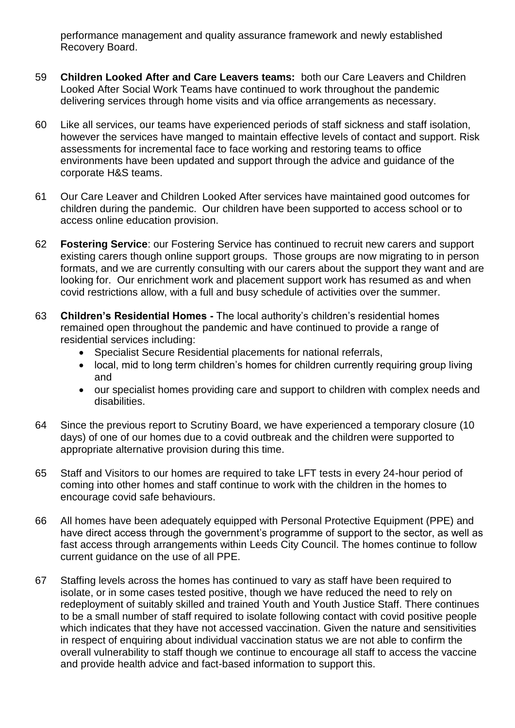performance management and quality assurance framework and newly established Recovery Board.

- 59 **Children Looked After and Care Leavers teams:** both our Care Leavers and Children Looked After Social Work Teams have continued to work throughout the pandemic delivering services through home visits and via office arrangements as necessary.
- 60 Like all services, our teams have experienced periods of staff sickness and staff isolation, however the services have manged to maintain effective levels of contact and support. Risk assessments for incremental face to face working and restoring teams to office environments have been updated and support through the advice and guidance of the corporate H&S teams.
- 61 Our Care Leaver and Children Looked After services have maintained good outcomes for children during the pandemic. Our children have been supported to access school or to access online education provision.
- 62 **Fostering Service**: our Fostering Service has continued to recruit new carers and support existing carers though online support groups. Those groups are now migrating to in person formats, and we are currently consulting with our carers about the support they want and are looking for. Our enrichment work and placement support work has resumed as and when covid restrictions allow, with a full and busy schedule of activities over the summer.
- 63 **Children's Residential Homes -** The local authority's children's residential homes remained open throughout the pandemic and have continued to provide a range of residential services including:
	- Specialist Secure Residential placements for national referrals,
	- local, mid to long term children's homes for children currently requiring group living and
	- our specialist homes providing care and support to children with complex needs and disabilities.
- 64 Since the previous report to Scrutiny Board, we have experienced a temporary closure (10 days) of one of our homes due to a covid outbreak and the children were supported to appropriate alternative provision during this time.
- 65 Staff and Visitors to our homes are required to take LFT tests in every 24-hour period of coming into other homes and staff continue to work with the children in the homes to encourage covid safe behaviours.
- 66 All homes have been adequately equipped with Personal Protective Equipment (PPE) and have direct access through the government's programme of support to the sector, as well as fast access through arrangements within Leeds City Council. The homes continue to follow current guidance on the use of all PPE.
- 67 Staffing levels across the homes has continued to vary as staff have been required to isolate, or in some cases tested positive, though we have reduced the need to rely on redeployment of suitably skilled and trained Youth and Youth Justice Staff. There continues to be a small number of staff required to isolate following contact with covid positive people which indicates that they have not accessed vaccination. Given the nature and sensitivities in respect of enquiring about individual vaccination status we are not able to confirm the overall vulnerability to staff though we continue to encourage all staff to access the vaccine and provide health advice and fact-based information to support this.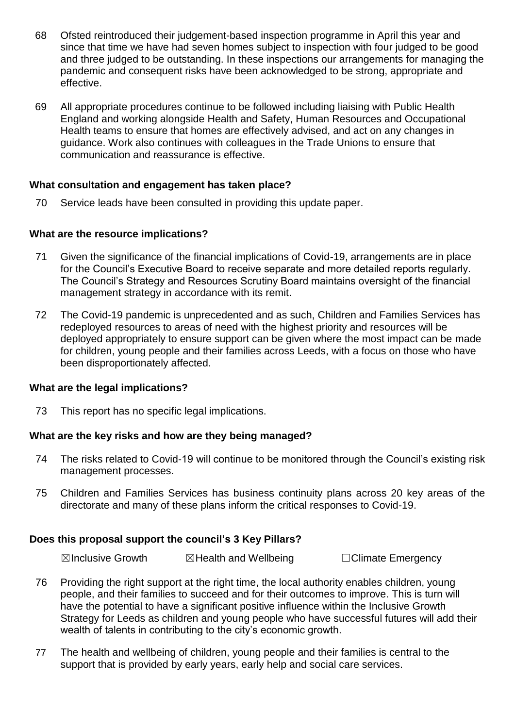- 68 Ofsted reintroduced their judgement-based inspection programme in April this year and since that time we have had seven homes subject to inspection with four judged to be good and three judged to be outstanding. In these inspections our arrangements for managing the pandemic and consequent risks have been acknowledged to be strong, appropriate and effective.
- 69 All appropriate procedures continue to be followed including liaising with Public Health England and working alongside Health and Safety, Human Resources and Occupational Health teams to ensure that homes are effectively advised, and act on any changes in guidance. Work also continues with colleagues in the Trade Unions to ensure that communication and reassurance is effective.

#### **What consultation and engagement has taken place?**

70 Service leads have been consulted in providing this update paper.

#### **What are the resource implications?**

- 71 Given the significance of the financial implications of Covid-19, arrangements are in place for the Council's Executive Board to receive separate and more detailed reports regularly. The Council's Strategy and Resources Scrutiny Board maintains oversight of the financial management strategy in accordance with its remit.
- 72 The Covid-19 pandemic is unprecedented and as such, Children and Families Services has redeployed resources to areas of need with the highest priority and resources will be deployed appropriately to ensure support can be given where the most impact can be made for children, young people and their families across Leeds, with a focus on those who have been disproportionately affected.

#### **What are the legal implications?**

73 This report has no specific legal implications.

#### **What are the key risks and how are they being managed?**

- 74 The risks related to Covid-19 will continue to be monitored through the Council's existing risk management processes.
- 75 Children and Families Services has business continuity plans across 20 key areas of the directorate and many of these plans inform the critical responses to Covid-19.

#### **Does this proposal support the council's 3 Key Pillars?**

**⊠Inclusive Growth □ ⊠Health and Wellbeing □ □Climate Emergency** 

- 76 Providing the right support at the right time, the local authority enables children, young people, and their families to succeed and for their outcomes to improve. This is turn will have the potential to have a significant positive influence within the Inclusive Growth Strategy for Leeds as children and young people who have successful futures will add their wealth of talents in contributing to the city's economic growth.
- 77 The health and wellbeing of children, young people and their families is central to the support that is provided by early years, early help and social care services.